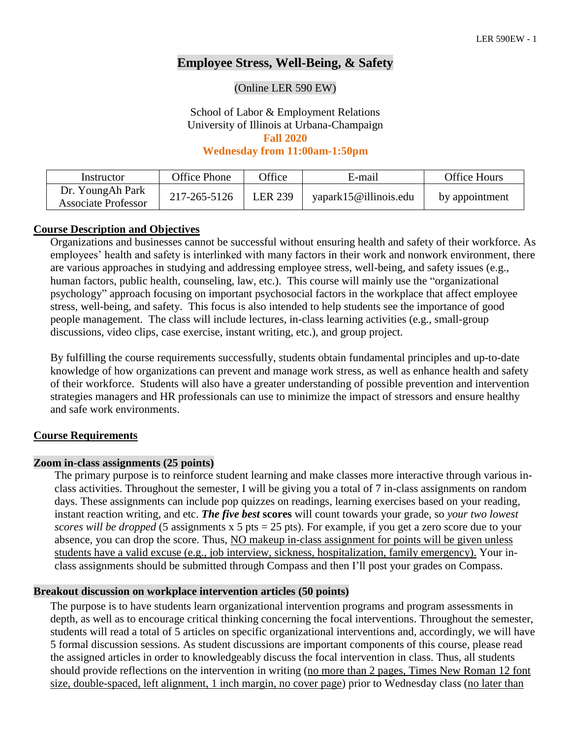# **Employee Stress, Well-Being, & Safety**

#### (Online LER 590 EW)

School of Labor & Employment Relations University of Illinois at Urbana-Champaign

**Fall 2020**

**Wednesday from 11:00am-1:50pm**

| Instructor                                     | Office Phone | <b>Office</b>  | E-mail                | Office Hours   |
|------------------------------------------------|--------------|----------------|-----------------------|----------------|
| Dr. YoungAh Park<br><b>Associate Professor</b> | 217-265-5126 | <b>LER 239</b> | yapark15@illinois.edu | by appointment |

#### **Course Description and Objectives**

Organizations and businesses cannot be successful without ensuring health and safety of their workforce. As employees' health and safety is interlinked with many factors in their work and nonwork environment, there are various approaches in studying and addressing employee stress, well-being, and safety issues (e.g., human factors, public health, counseling, law, etc.). This course will mainly use the "organizational psychology" approach focusing on important psychosocial factors in the workplace that affect employee stress, well-being, and safety. This focus is also intended to help students see the importance of good people management. The class will include lectures, in-class learning activities (e.g., small-group discussions, video clips, case exercise, instant writing, etc.), and group project.

By fulfilling the course requirements successfully, students obtain fundamental principles and up-to-date knowledge of how organizations can prevent and manage work stress, as well as enhance health and safety of their workforce. Students will also have a greater understanding of possible prevention and intervention strategies managers and HR professionals can use to minimize the impact of stressors and ensure healthy and safe work environments.

### **Course Requirements**

### **Zoom in-class assignments (25 points)**

The primary purpose is to reinforce student learning and make classes more interactive through various inclass activities. Throughout the semester, I will be giving you a total of 7 in-class assignments on random days. These assignments can include pop quizzes on readings, learning exercises based on your reading, instant reaction writing, and etc. *The five best* **scores** will count towards your grade, so *your two lowest scores* will be dropped (5 assignments x 5 pts = 25 pts). For example, if you get a zero score due to your absence, you can drop the score. Thus, NO makeup in-class assignment for points will be given unless students have a valid excuse (e.g., job interview, sickness, hospitalization, family emergency). Your inclass assignments should be submitted through Compass and then I'll post your grades on Compass.

### **Breakout discussion on workplace intervention articles (50 points)**

The purpose is to have students learn organizational intervention programs and program assessments in depth, as well as to encourage critical thinking concerning the focal interventions. Throughout the semester, students will read a total of 5 articles on specific organizational interventions and, accordingly, we will have 5 formal discussion sessions. As student discussions are important components of this course, please read the assigned articles in order to knowledgeably discuss the focal intervention in class. Thus, all students should provide reflections on the intervention in writing (no more than 2 pages, Times New Roman 12 font size, double-spaced, left alignment, 1 inch margin, no cover page) prior to Wednesday class (no later than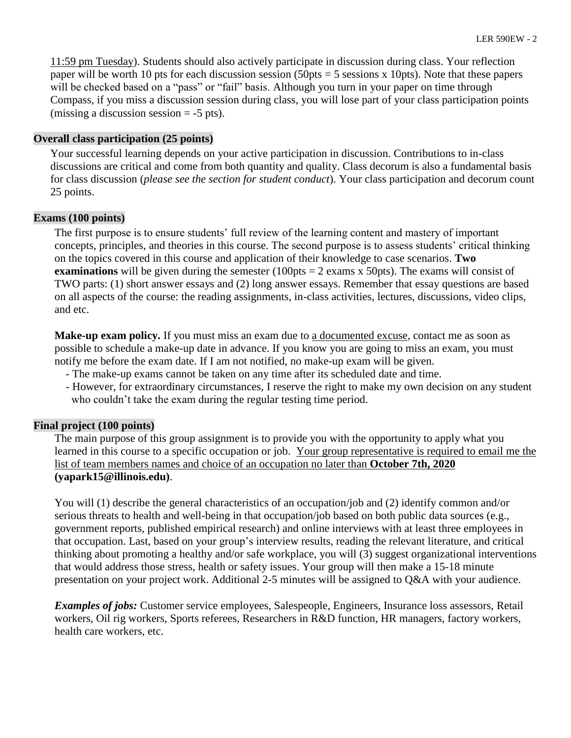11:59 pm Tuesday). Students should also actively participate in discussion during class. Your reflection paper will be worth 10 pts for each discussion session (50pts  $=$  5 sessions x 10pts). Note that these papers will be checked based on a "pass" or "fail" basis. Although you turn in your paper on time through Compass, if you miss a discussion session during class, you will lose part of your class participation points (missing a discussion session  $= -5$  pts).

## **Overall class participation (25 points)**

Your successful learning depends on your active participation in discussion. Contributions to in-class discussions are critical and come from both quantity and quality. Class decorum is also a fundamental basis for class discussion (*please see the section for student conduct*). Your class participation and decorum count 25 points.

## **Exams (100 points)**

The first purpose is to ensure students' full review of the learning content and mastery of important concepts, principles, and theories in this course. The second purpose is to assess students' critical thinking on the topics covered in this course and application of their knowledge to case scenarios. **Two examinations** will be given during the semester  $(100pts = 2 \text{ exams x } 50pts)$ . The exams will consist of TWO parts: (1) short answer essays and (2) long answer essays. Remember that essay questions are based on all aspects of the course: the reading assignments, in-class activities, lectures, discussions, video clips, and etc.

**Make-up exam policy.** If you must miss an exam due to a documented excuse, contact me as soon as possible to schedule a make-up date in advance. If you know you are going to miss an exam, you must notify me before the exam date. If I am not notified, no make-up exam will be given.

- The make-up exams cannot be taken on any time after its scheduled date and time.
- However, for extraordinary circumstances, I reserve the right to make my own decision on any student who couldn't take the exam during the regular testing time period.

## **Final project (100 points)**

The main purpose of this group assignment is to provide you with the opportunity to apply what you learned in this course to a specific occupation or job. Your group representative is required to email me the list of team members names and choice of an occupation no later than **October 7th, 2020 (yapark15@illinois.edu)**.

You will (1) describe the general characteristics of an occupation/job and (2) identify common and/or serious threats to health and well-being in that occupation/job based on both public data sources (e.g., government reports, published empirical research) and online interviews with at least three employees in that occupation. Last, based on your group's interview results, reading the relevant literature, and critical thinking about promoting a healthy and/or safe workplace, you will (3) suggest organizational interventions that would address those stress, health or safety issues. Your group will then make a 15-18 minute presentation on your project work. Additional 2-5 minutes will be assigned to Q&A with your audience.

*Examples of jobs:* Customer service employees, Salespeople, Engineers, Insurance loss assessors, Retail workers, Oil rig workers, Sports referees, Researchers in R&D function, HR managers, factory workers, health care workers, etc.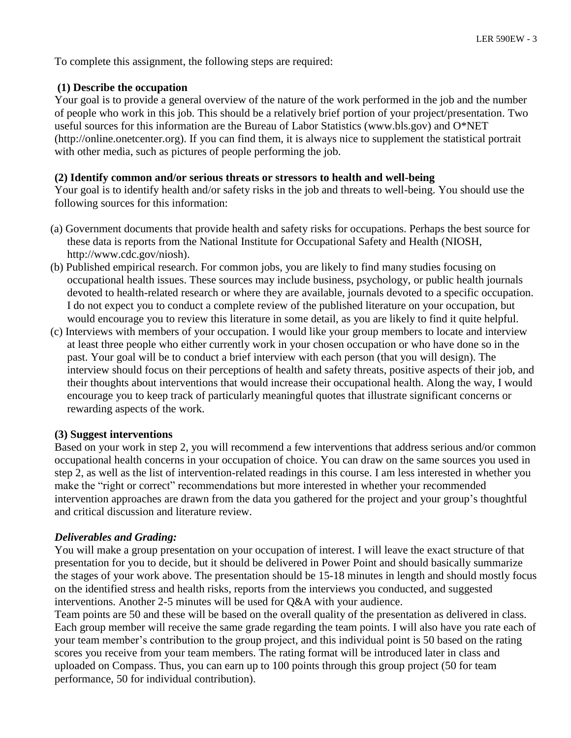To complete this assignment, the following steps are required:

## **(1) Describe the occupation**

Your goal is to provide a general overview of the nature of the work performed in the job and the number of people who work in this job. This should be a relatively brief portion of your project/presentation. Two useful sources for this information are the Bureau of Labor Statistics (www.bls.gov) and O\*NET (http://online.onetcenter.org). If you can find them, it is always nice to supplement the statistical portrait with other media, such as pictures of people performing the job.

## **(2) Identify common and/or serious threats or stressors to health and well-being**

Your goal is to identify health and/or safety risks in the job and threats to well-being. You should use the following sources for this information:

- (a) Government documents that provide health and safety risks for occupations. Perhaps the best source for these data is reports from the National Institute for Occupational Safety and Health (NIOSH, http://www.cdc.gov/niosh).
- (b) Published empirical research. For common jobs, you are likely to find many studies focusing on occupational health issues. These sources may include business, psychology, or public health journals devoted to health-related research or where they are available, journals devoted to a specific occupation. I do not expect you to conduct a complete review of the published literature on your occupation, but would encourage you to review this literature in some detail, as you are likely to find it quite helpful.
- (c) Interviews with members of your occupation. I would like your group members to locate and interview at least three people who either currently work in your chosen occupation or who have done so in the past. Your goal will be to conduct a brief interview with each person (that you will design). The interview should focus on their perceptions of health and safety threats, positive aspects of their job, and their thoughts about interventions that would increase their occupational health. Along the way, I would encourage you to keep track of particularly meaningful quotes that illustrate significant concerns or rewarding aspects of the work.

### **(3) Suggest interventions**

Based on your work in step 2, you will recommend a few interventions that address serious and/or common occupational health concerns in your occupation of choice. You can draw on the same sources you used in step 2, as well as the list of intervention-related readings in this course. I am less interested in whether you make the "right or correct" recommendations but more interested in whether your recommended intervention approaches are drawn from the data you gathered for the project and your group's thoughtful and critical discussion and literature review.

### *Deliverables and Grading:*

You will make a group presentation on your occupation of interest. I will leave the exact structure of that presentation for you to decide, but it should be delivered in Power Point and should basically summarize the stages of your work above. The presentation should be 15-18 minutes in length and should mostly focus on the identified stress and health risks, reports from the interviews you conducted, and suggested interventions. Another 2-5 minutes will be used for Q&A with your audience.

Team points are 50 and these will be based on the overall quality of the presentation as delivered in class. Each group member will receive the same grade regarding the team points. I will also have you rate each of your team member's contribution to the group project, and this individual point is 50 based on the rating scores you receive from your team members. The rating format will be introduced later in class and uploaded on Compass. Thus, you can earn up to 100 points through this group project (50 for team performance, 50 for individual contribution).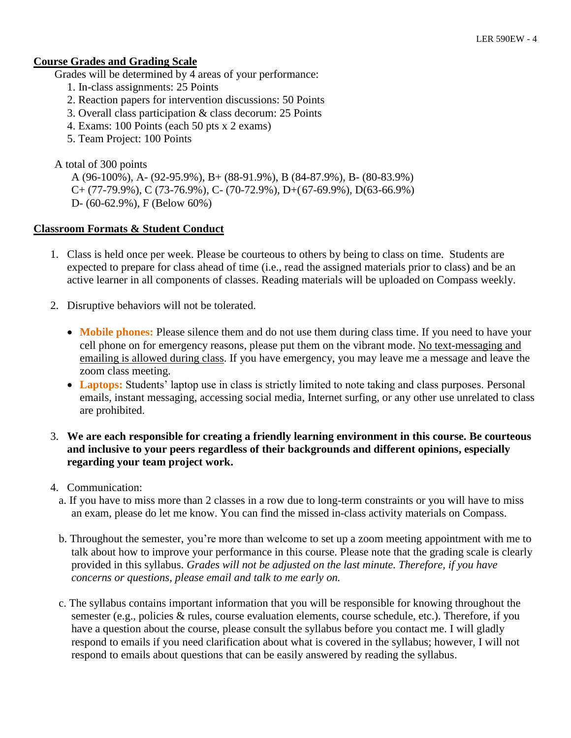## **Course Grades and Grading Scale**

Grades will be determined by 4 areas of your performance:

- 1. In-class assignments: 25 Points
- 2. Reaction papers for intervention discussions: 50 Points
- 3. Overall class participation & class decorum: 25 Points
- 4. Exams: 100 Points (each 50 pts x 2 exams)
- 5. Team Project: 100 Points

# A total of 300 points

A (96-100%), A- (92-95.9%), B+ (88-91.9%), B (84-87.9%), B- (80-83.9%)  $C+(77-79.9\%)$ , C (73-76.9%), C- (70-72.9%), D+(67-69.9%), D(63-66.9%) D- (60-62.9%), F (Below 60%)

# **Classroom Formats & Student Conduct**

- 1. Class is held once per week. Please be courteous to others by being to class on time. Students are expected to prepare for class ahead of time (i.e., read the assigned materials prior to class) and be an active learner in all components of classes. Reading materials will be uploaded on Compass weekly.
- 2. Disruptive behaviors will not be tolerated.
	- **Mobile phones:** Please silence them and do not use them during class time. If you need to have your cell phone on for emergency reasons, please put them on the vibrant mode. No text-messaging and emailing is allowed during class. If you have emergency, you may leave me a message and leave the zoom class meeting.
	- Laptops: Students' laptop use in class is strictly limited to note taking and class purposes. Personal emails, instant messaging, accessing social media, Internet surfing, or any other use unrelated to class are prohibited.

## 3. **We are each responsible for creating a friendly learning environment in this course. Be courteous and inclusive to your peers regardless of their backgrounds and different opinions, especially regarding your team project work.**

- 4. Communication:
	- a. If you have to miss more than 2 classes in a row due to long-term constraints or you will have to miss an exam, please do let me know. You can find the missed in-class activity materials on Compass.
	- b. Throughout the semester, you're more than welcome to set up a zoom meeting appointment with me to talk about how to improve your performance in this course. Please note that the grading scale is clearly provided in this syllabus. *Grades will not be adjusted on the last minute. Therefore, if you have concerns or questions, please email and talk to me early on.*
	- c. The syllabus contains important information that you will be responsible for knowing throughout the semester (e.g., policies & rules, course evaluation elements, course schedule, etc.). Therefore, if you have a question about the course, please consult the syllabus before you contact me. I will gladly respond to emails if you need clarification about what is covered in the syllabus; however, I will not respond to emails about questions that can be easily answered by reading the syllabus.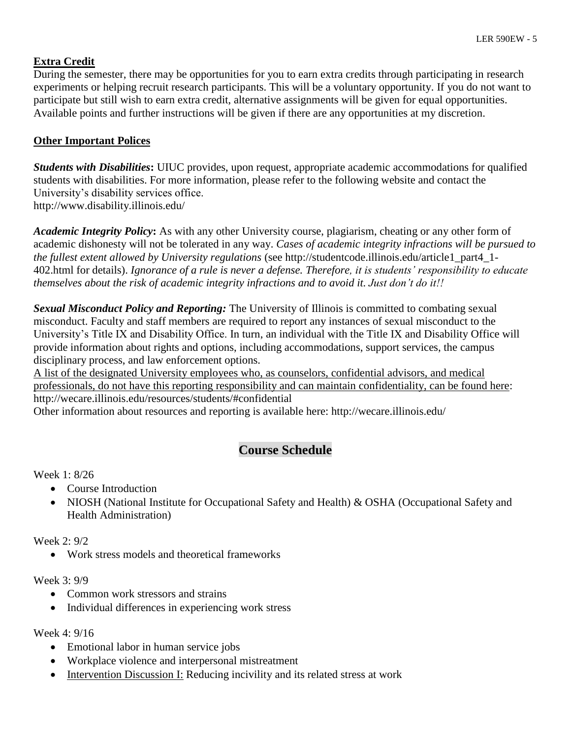# **Extra Credit**

During the semester, there may be opportunities for you to earn extra credits through participating in research experiments or helping recruit research participants. This will be a voluntary opportunity. If you do not want to participate but still wish to earn extra credit, alternative assignments will be given for equal opportunities. Available points and further instructions will be given if there are any opportunities at my discretion.

# **Other Important Polices**

*Students with Disabilities***:** UIUC provides, upon request, appropriate academic accommodations for qualified students with disabilities. For more information, please refer to the following website and contact the University's disability services office. http://www.disability.illinois.edu/

*Academic Integrity Policy***:** As with any other University course, plagiarism, cheating or any other form of academic dishonesty will not be tolerated in any way. *Cases of academic integrity infractions will be pursued to the fullest extent allowed by University regulations* (see http://studentcode.illinois.edu/article1\_part4\_1- 402.html for details). *Ignorance of a rule is never a defense. Therefore, it is students' responsibility to educate themselves about the risk of academic integrity infractions and to avoid it. Just don't do it!!*

*Sexual Misconduct Policy and Reporting:* The University of Illinois is committed to combating sexual misconduct. Faculty and staff members are required to report any instances of sexual misconduct to the University's Title IX and Disability Office. In turn, an individual with the Title IX and Disability Office will provide information about rights and options, including accommodations, support services, the campus disciplinary process, and law enforcement options.

A list of the designated University employees who, as counselors, confidential advisors, and medical professionals, do not have this reporting responsibility and can maintain confidentiality, can be found here: http://wecare.illinois.edu/resources/students/#confidential

Other information about resources and reporting is available here: http://wecare.illinois.edu/

# **Course Schedule**

## Week 1: 8/26

- Course Introduction
- NIOSH (National Institute for Occupational Safety and Health) & OSHA (Occupational Safety and Health Administration)

Week 2: 9/2

• Work stress models and theoretical frameworks

### Week 3: 9/9

- Common work stressors and strains
- Individual differences in experiencing work stress

Week 4: 9/16

- Emotional labor in human service jobs
- Workplace violence and interpersonal mistreatment
- Intervention Discussion I: Reducing incivility and its related stress at work